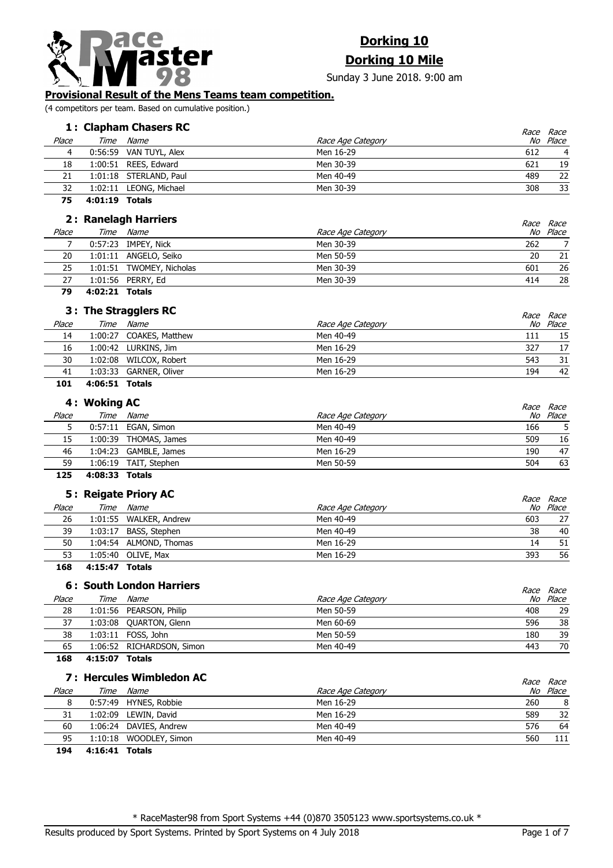

# **Dorking 10**

**Dorking 10 Mile**

Sunday 3 June 2018. 9:00 am

## **Provisional Result of the Mens Teams team competition.**

(4 competitors per team. Based on cumulative position.)

# **1** Clapham Chasers RC and the set of the set of the set of the set of the set of the set of the set of the set of the set of the set of the set of the set of the set of the set of the set of the set of the set of the set

|       | 1: Clapham Chasers RC |                        | <i>Race Race</i>  |                |
|-------|-----------------------|------------------------|-------------------|----------------|
| Place | Time                  | Name                   | Race Age Category | No Place       |
| 4     |                       | 0:56:59 VAN TUYL, Alex | Men 16-29<br>612  | $\overline{4}$ |
| 18    |                       | 1:00:51 REES, Edward   | Men 30-39<br>621  | 19             |
| 21    |                       | 1:01:18 STERLAND, Paul | 489<br>Men 40-49  | 22             |
| 32    |                       | 1:02:11 LEONG, Michael | Men 30-39<br>308  | 33             |
|       |                       |                        |                   |                |

**75 4:01:19 Totals**

|        | 2: Ranelagh Harriers |                          |                   | <i>Race Race</i> |          |
|--------|----------------------|--------------------------|-------------------|------------------|----------|
| Place  | Time                 | Name                     | Race Age Category |                  | No Place |
|        |                      | 0:57:23 IMPEY, Nick      | Men 30-39         | 262              |          |
| 20     |                      | 1:01:11 ANGELO, Seiko    | Men 50-59         | 20               | 21       |
| 25     |                      | 1:01:51 TWOMEY, Nicholas | Men 30-39         | 601              | 26       |
| 27     |                      | 1:01:56 PERRY, Ed        | Men 30-39         | 414              | 28       |
| $\sim$ | .                    |                          |                   |                  |          |

**79 4:02:21 Totals**

|       |                | 3: The Stragglers RC    |                   | Race Race |
|-------|----------------|-------------------------|-------------------|-----------|
| Place | Time           | Name                    | Race Age Category | No Place  |
| 14    |                | 1:00:27 COAKES, Matthew | Men 40-49<br>111  | 15        |
| 16    |                | 1:00:42 LURKINS, Jim    | Men 16-29<br>327  | 17        |
| 30    | 1:02:08        | WILCOX, Robert          | Men 16-29<br>543  | 31        |
| 41    |                | 1:03:33 GARNER, Oliver  | Men 16-29<br>194  | 42        |
| 101   | 4:06:51 Totals |                         |                   |           |

|       | 4: Woking AC |                       |                   |     | <i>Race Race</i> |
|-------|--------------|-----------------------|-------------------|-----|------------------|
| Place | Time         | Name                  | Race Age Category |     | No Place         |
|       |              | 0:57:11 EGAN, Simon   | Men 40-49         | 166 |                  |
| 15    |              | 1:00:39 THOMAS, James | Men 40-49         | 509 | 16               |
| 46    |              | 1:04:23 GAMBLE, James | Men 16-29         | 190 | 47               |
| 59    |              | 1:06:19 TAIT, Stephen | Men 50-59         | 504 | 63               |
| ---   | .            |                       |                   |     |                  |

**125 4:08:33 Totals**

|         | 5: Reigate Priory AC   |                   |     | <i>Race Race</i> |
|---------|------------------------|-------------------|-----|------------------|
| Place   | Time Name              | Race Age Category |     | No Place         |
| 26      | 1:01:55 WALKER, Andrew | Men 40-49         | 603 | 27               |
| 39      | 1:03:17 BASS, Stephen  | Men 40-49         | 38  | 40               |
| 50      | 1:04:54 ALMOND, Thomas | Men 16-29         | 14  | 51               |
| 53      | 1:05:40 OLIVE, Max     | Men 16-29         | 393 | 56               |
| - - - - |                        |                   |     |                  |

# **168 4:15:47 Totals**

### **6 : South London Harriers** and the set of the set of the set of the set of the set of the set of the set of the set of the set of the set of the set of the set of the set of the set of the set of the set of the set of t

|       |      | o: South Longon Harriers  |                   | <i>Race</i> | Race     |
|-------|------|---------------------------|-------------------|-------------|----------|
| Place | Time | <i>Name</i>               | Race Age Category |             | No Place |
| 28    |      | 1:01:56 PEARSON, Philip   | Men 50-59         | 408         | 29       |
| 37    |      | 1:03:08 QUARTON, Glenn    | Men 60-69         | 596         | 38       |
| 38    |      | 1:03:11 FOSS, John        | Men 50-59         | 180         | 39       |
| 65    |      | 1:06:52 RICHARDSON, Simon | Men 40-49         | 443         | 70       |
|       |      |                           |                   |             |          |

**168 4:15:07 Totals**

# **7 : Hercules Wimbledon AC**

|       |      | 7 : Hercules Wimbledon AC |                   |     | <i>Race Race</i> |
|-------|------|---------------------------|-------------------|-----|------------------|
| Place | Time | Name                      | Race Age Category |     | No Place         |
| 8     |      | 0:57:49 HYNES, Robbie     | Men 16-29         | 260 | 8                |
| 31    |      | 1:02:09 LEWIN, David      | Men 16-29         | 589 | 32               |
| 60    |      | 1:06:24 DAVIES, Andrew    | Men 40-49         | 576 | 64               |
| 95    |      | 1:10:18 WOODLEY, Simon    | Men 40-49         | 560 | 111              |
| .     | .    |                           |                   |     |                  |

**194 4:16:41 Totals**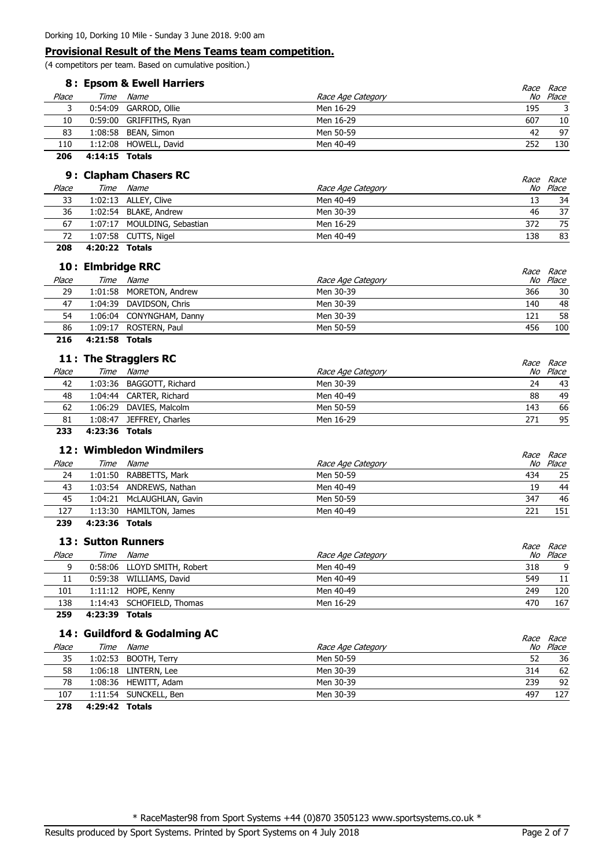(4 competitors per team. Based on cumulative position.)

|       | 8: Epsom & Ewell Harriers |                         |                   |     | <i>Race Race</i> |
|-------|---------------------------|-------------------------|-------------------|-----|------------------|
| Place | Time                      | Name                    | Race Age Category |     | No Place         |
|       |                           | 0:54:09 GARROD, Ollie   | Men 16-29         | 195 |                  |
| 10    |                           | 0:59:00 GRIFFITHS, Ryan | Men 16-29         | 607 | 10               |
| 83    |                           | 1:08:58 BEAN, Simon     | Men 50-59         | 42  | 97               |
| 110   |                           | 1:12:08 HOWELL, David   | Men 40-49         | 252 | 130              |
|       |                           |                         |                   |     |                  |

**206 4:14:15 Totals**

|       | 9: Clapham Chasers RC |                             |                   |     |                              |
|-------|-----------------------|-----------------------------|-------------------|-----|------------------------------|
| Place | Time                  | Name                        | Race Age Category |     | <i>Race Race</i><br>No Place |
| 33    |                       | 1:02:13 ALLEY, Clive        | Men 40-49         | 13  | 34                           |
| 36    |                       | 1:02:54 BLAKE, Andrew       | Men 30-39         | 46  | 37                           |
| 67    |                       | 1:07:17 MOULDING, Sebastian | Men 16-29         | 372 | 75                           |
| 72    |                       | 1:07:58 CUTTS, Nigel        | Men 40-49         | 138 | 83                           |
|       |                       |                             |                   |     |                              |

**208 4:20:22 Totals**

l. l,

|       | 10: Elmbridge RRC |                          |                   |     |                       |
|-------|-------------------|--------------------------|-------------------|-----|-----------------------|
| Place | Time              | Name                     | Race Age Category |     | Race Race<br>No Place |
| 29    |                   | 1:01:58 MORETON, Andrew  | Men 30-39         | 366 | 30                    |
| 47    |                   | 1:04:39 DAVIDSON, Chris  | Men 30-39         | 140 | 48                    |
| 54    |                   | 1:06:04 CONYNGHAM, Danny | Men 30-39         | 121 | 58                    |
| 86    |                   | 1:09:17 ROSTERN, Paul    | Men 50-59         | 456 | 100                   |
| 216   | 4:21:58 Totals    |                          |                   |     |                       |

|       |         | 11 : The Stragglers RC   |                   |     | Race Race |
|-------|---------|--------------------------|-------------------|-----|-----------|
| Place | Time    | Name                     | Race Age Category |     | No Place  |
| 42    |         | 1:03:36 BAGGOTT, Richard | Men 30-39         | 24  | 43        |
| 48    |         | 1:04:44 CARTER, Richard  | Men 40-49         | 88  | 49        |
| 62    |         | 1:06:29 DAVIES, Malcolm  | Men 50-59         | 143 | 66        |
| 81    | 1:08:47 | JEFFREY, Charles         | Men 16-29         | 271 | 95        |
|       |         |                          |                   |     |           |

**233 4:23:36 Totals**

|       | 12: Wimbledon Windmilers |                           |                   |     | <i>Race Race</i> |
|-------|--------------------------|---------------------------|-------------------|-----|------------------|
| Place | Time                     | Name                      | Race Age Category |     | No Place         |
| 24    |                          | 1:01:50 RABBETTS, Mark    | Men 50-59         | 434 | 25               |
| 43    |                          | 1:03:54 ANDREWS, Nathan   | Men 40-49         | 19  | 44               |
| 45    |                          | 1:04:21 McLAUGHLAN, Gavin | Men 50-59         | 347 | 46               |
| 127   |                          | 1:13:30 HAMILTON, James   | Men 40-49         | 221 | 151              |
| 239   | 4:23:36 Totals           |                           |                   |     |                  |

### **13** Sutton Runners **13** Race Place Time Name Time Race Age Category No Place Race Race 9 0:58:06 LLOYD SMITH, Robert 2008 Men 40-49 Men 40-49 318 9 11 0:59:38 WILLIAMS, David Men 40-49 549 11 101 1:11:12 HOPE, Kenny Men 40-49 Men 40-49 249 120 138 1:14:43 SCHOFIELD, Thomas Men 16-29 470 167

**259 4:23:39 Totals**

# **14 : Guildford & Godalming AC** and the second second that the second second second second second second second second second second second second second second second second second second second second second second secon

|       |                | 14 : Guildford & Godaiming AC |                   |     | Race Race |
|-------|----------------|-------------------------------|-------------------|-----|-----------|
| Place | Time           | Name                          | Race Age Category |     | No Place  |
| 35    |                | 1:02:53 BOOTH, Terry          | Men 50-59         | 52  | 36        |
| 58    |                | 1:06:18 LINTERN, Lee          | Men 30-39         | 314 | 62        |
| 78    |                | 1:08:36 HEWITT, Adam          | Men 30-39         | 239 | 92        |
| 107   |                | 1:11:54 SUNCKELL, Ben         | Men 30-39         | 497 | 127       |
| 278   | 4:29:42 Totals |                               |                   |     |           |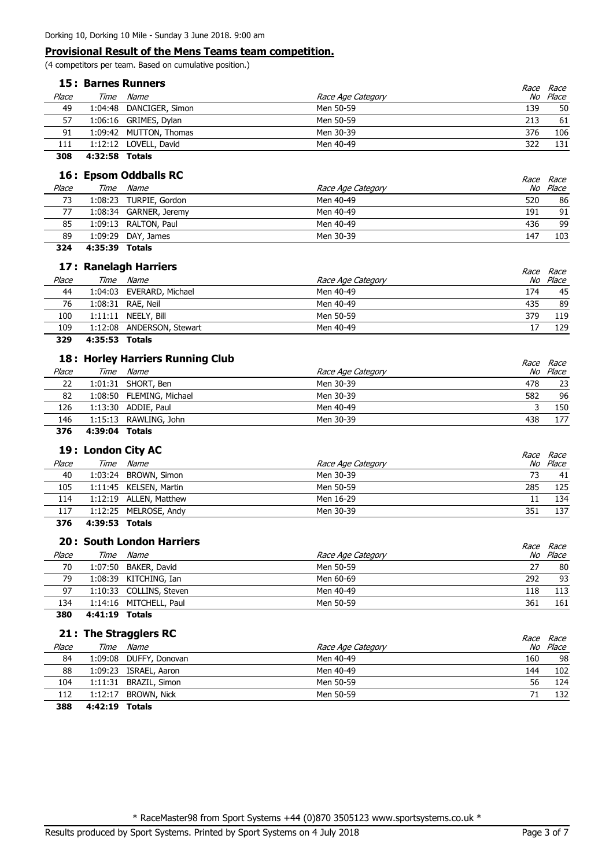(4 competitors per team. Based on cumulative position.)

|       | <b>15: Barnes Runners</b> |                                                                                                                                                                                                                                      |  |  | Race |
|-------|---------------------------|--------------------------------------------------------------------------------------------------------------------------------------------------------------------------------------------------------------------------------------|--|--|------|
| Place | Time                      | Race<br>No Place<br>Name<br>Race Age Category<br>Men 50-59<br>1:04:48 DANCIGER, Simon<br>139<br>1:06:16 GRIMES, Dylan<br>Men 50-59<br>213<br>Men 30-39<br>1:09:42 MUTTON, Thomas<br>376<br>322<br>1:12:12 LOVELL, David<br>Men 40-49 |  |  |      |
| 49    |                           |                                                                                                                                                                                                                                      |  |  | 50   |
| 57    |                           |                                                                                                                                                                                                                                      |  |  | 61   |
| 91    |                           |                                                                                                                                                                                                                                      |  |  | 106  |
| 111   |                           |                                                                                                                                                                                                                                      |  |  | 131  |
|       |                           |                                                                                                                                                                                                                                      |  |  |      |

**308 4:32:58 Totals**

| 16: Epsom Oddballs RC |      |                        |                   |     | <i>Race Race</i> |
|-----------------------|------|------------------------|-------------------|-----|------------------|
| Place                 | Time | Name                   | Race Age Category |     | No Place         |
| 73                    |      | 1:08:23 TURPIE, Gordon | Men 40-49         | 520 | 86               |
|                       |      | 1:08:34 GARNER, Jeremy | Men 40-49         | 191 | 91               |
| 85                    |      | 1:09:13 RALTON, Paul   | Men 40-49         | 436 | 99               |
| 89                    |      | 1:09:29 DAY, James     | Men 30-39         | 147 | 103              |
|                       |      |                        |                   |     |                  |

**324 4:35:39 Totals**

|       | 17: Ranelagh Harriers |                           |                   |                              |  |
|-------|-----------------------|---------------------------|-------------------|------------------------------|--|
| Place | Time                  | Name                      | Race Age Category | <i>Race Race</i><br>No Place |  |
| 44    |                       | 1:04:03 EVERARD, Michael  | Men 40-49<br>174  | 45                           |  |
| 76    |                       | 1:08:31 RAE, Neil         | Men 40-49<br>435  | 89                           |  |
| 100   |                       | 1:11:11 NEELY, Bill       | 379<br>Men 50-59  | 119                          |  |
| 109   |                       | 1:12:08 ANDERSON, Stewart | Men 40-49         | 129                          |  |

**329 4:35:53 Totals**

### **18 : Horley Harriers Running Club** and the set of the set of the set of the set of the set of the set of the set of the set of the set of the set of the set of the set of the set of the set of the set of the set of the se

|       |                | 18: Horley Harriers Running Club |                   |     | Race Race |
|-------|----------------|----------------------------------|-------------------|-----|-----------|
| Place |                | Time Name                        | Race Age Category |     | No Place  |
| 22    |                | 1:01:31 SHORT, Ben               | Men 30-39         | 478 | 23        |
| 82    |                | 1:08:50 FLEMING, Michael         | Men 30-39         | 582 | 96        |
| 126   |                | 1:13:30 ADDIE, Paul              | Men 40-49         |     | 150       |
| 146   |                | 1:15:13 RAWLING, John            | Men 30-39         | 438 | 177       |
| 376   | 4:39:04 Totals |                                  |                   |     |           |

|       |                | 19 : London City AC    |                   |     | <i>Race Race</i> |
|-------|----------------|------------------------|-------------------|-----|------------------|
| Place | Time           | Name                   | Race Age Category |     | No Place         |
| 40    |                | 1:03:24 BROWN, Simon   | Men 30-39         | 73  | -41              |
| 105   |                | 1:11:45 KELSEN, Martin | Men 50-59         | 285 | 125              |
| 114   |                | 1:12:19 ALLEN, Matthew | Men 16-29         |     | 134              |
| 117   |                | 1:12:25 MELROSE, Andy  | Men 30-39         | 351 | 137              |
| 376   | 4:39:53 Totals |                        |                   |     |                  |

### **20 : South London Harriers** and the set of the set of the set of the set of the set of the set of the set of the set of the set of the set of the set of the set of the set of the set of the set of the set of the set of th

|       |      | <b>20: South London Harriers</b> |                   | Race Race |
|-------|------|----------------------------------|-------------------|-----------|
| Place | Time | Name                             | Race Age Category | No Place  |
| 70    |      | 1:07:50 BAKER, David             | Men 50-59<br>27   | 80        |
| 79    |      | 1:08:39 KITCHING, Ian            | 292<br>Men 60-69  | 93        |
| 97    |      | 1:10:33 COLLINS, Steven          | Men 40-49<br>118  | 113       |
| 134   |      | 1:14:16 MITCHELL, Paul           | Men 50-59<br>361  | 161       |
|       |      |                                  |                   |           |

**380 4:41:19 Totals**

|       |                | 21 : The Stragglers RC |                   | Race Race |     |
|-------|----------------|------------------------|-------------------|-----------|-----|
| Place | Time           | Name                   | Race Age Category | No Place  |     |
| 84    | 1:09:08        | DUFFY, Donovan         | Men 40-49         | 160       | 98  |
| 88    |                | 1:09:23 ISRAEL, Aaron  | Men 40-49         | 144       | 102 |
| 104   |                | 1:11:31 BRAZIL, Simon  | Men 50-59         | 56        | 124 |
| 112   |                | 1:12:17 BROWN, Nick    | Men 50-59         | 71        | 132 |
| 388   | 4:42:19 Totals |                        |                   |           |     |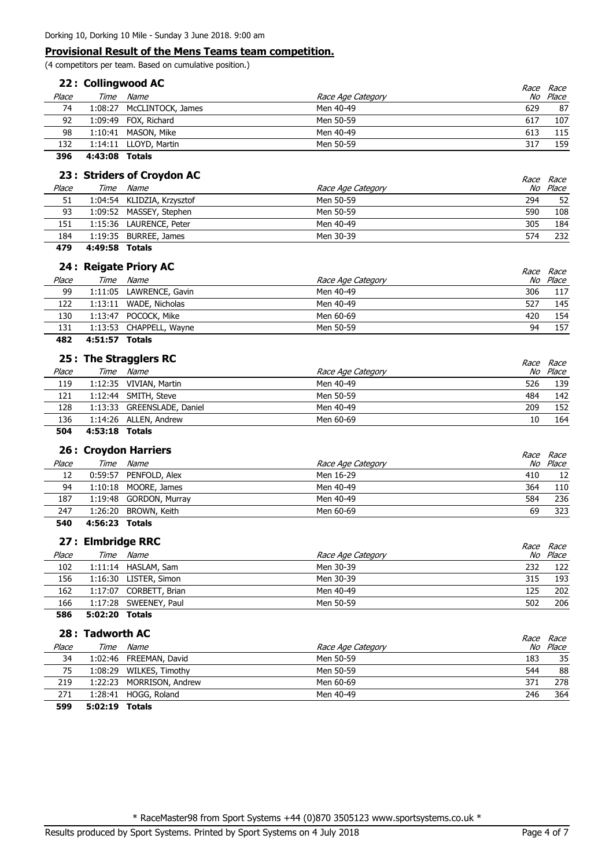(4 competitors per team. Based on cumulative position.)

|       | 22: Collingwood AC |                           |                   |             |                         |
|-------|--------------------|---------------------------|-------------------|-------------|-------------------------|
| Place | Time               | Name                      | Race Age Category | <i>Race</i> | <i>Race</i><br>No Place |
| 74    |                    | 1:08:27 McCLINTOCK, James | Men 40-49         | 629         | 87                      |
| 92    |                    | 1:09:49 FOX, Richard      | Men 50-59         | 617         | 107                     |
| 98    | 1:10:41            | MASON, Mike               | Men 40-49         | 613         | 115                     |
| 132   |                    | 1:14:11 LLOYD, Martin     | Men 50-59         | 317         | 159                     |
|       |                    |                           |                   |             |                         |

**396 4:43:08 Totals**

| 23 : Striders of Croydon AC |         |                            |                   |     | <i>Race Race</i> |
|-----------------------------|---------|----------------------------|-------------------|-----|------------------|
| Place                       | Time    | Name                       | Race Age Category |     | No Place         |
| 51                          |         | 1:04:54 KLIDZIA, Krzysztof | Men 50-59         | 294 | 52               |
| 93                          |         | 1:09:52 MASSEY, Stephen    | Men 50-59         | 590 | 108              |
| 151                         |         | 1:15:36 LAURENCE, Peter    | Men 40-49         | 305 | 184              |
| 184                         | 1:19:35 | BURREE, James              | Men 30-39         | 574 | 232              |
|                             |         |                            |                   |     |                  |

**479 4:49:58 Totals**

|       | 24 : Reigate Priory AC  |                   | <i>Race Race</i> |
|-------|-------------------------|-------------------|------------------|
| Place | Time Name               | Race Age Category | No Place         |
| 99    | 1:11:05 LAWRENCE, Gavin | Men 40-49<br>306  | 117              |
| 122   | 1:13:11 WADE, Nicholas  | Men 40-49<br>527  | 145              |
| 130   | 1:13:47 POCOCK, Mike    | Men 60-69<br>420  | 154              |
| 131   | 1:13:53 CHAPPELL, Wayne | Men 50-59<br>94   | 157              |
|       |                         |                   |                  |

## **482 4:51:57 Totals**

|       |                | 25 : The Stragglers RC     |                   |     | Race Race |
|-------|----------------|----------------------------|-------------------|-----|-----------|
| Place | Time           | Name                       | Race Age Category |     | No Place  |
| 119   |                | 1:12:35 VIVIAN, Martin     | Men 40-49         | 526 | 139       |
| 121   |                | 1:12:44 SMITH, Steve       | Men 50-59         | 484 | 142       |
| 128   |                | 1:13:33 GREENSLADE, Daniel | Men 40-49         | 209 | 152       |
| 136   |                | 1:14:26 ALLEN, Andrew      | Men 60-69         | 10  | 164       |
| 504   | 4:53:18 Totals |                            |                   |     |           |

|       |                | 26 : Croydon Harriers  |                   |     | <i>Race Race</i> |
|-------|----------------|------------------------|-------------------|-----|------------------|
| Place | Time           | Name                   | Race Age Category |     | No Place         |
| 12    |                | 0:59:57 PENFOLD, Alex  | Men 16-29         | 410 | 12               |
| 94    |                | 1:10:18 MOORE, James   | Men 40-49         | 364 | 110              |
| 187   |                | 1:19:48 GORDON, Murray | Men 40-49         | 584 | 236              |
| 247   |                | 1:26:20 BROWN, Keith   | Men 60-69         | 69  | 323              |
| 540   | 4:56:23 Totals |                        |                   |     |                  |

|       | 27 : Elmbridge RRC |                        |                   | <i>Race Race</i> |
|-------|--------------------|------------------------|-------------------|------------------|
| Place |                    | Time Name              | Race Age Category | No Place         |
| 102   |                    | 1:11:14 HASLAM, Sam    | Men 30-39<br>232  | 122              |
| 156   |                    | 1:16:30 LISTER, Simon  | Men 30-39<br>315  | 193              |
| 162   |                    | 1:17:07 CORBETT, Brian | Men 40-49<br>125  | 202              |
| 166   |                    | 1:17:28 SWEENEY, Paul  | Men 50-59<br>502  | 206              |
| 586   | 5:02:20 Totals     |                        |                   |                  |

|       | 28 : Tadworth AC |                          |                   | Race Race |          |
|-------|------------------|--------------------------|-------------------|-----------|----------|
| Place |                  | Time Name                | Race Age Category |           | No Place |
| 34    |                  | 1:02:46 FREEMAN, David   | Men 50-59         | 183       | 35       |
| 75    |                  | 1:08:29 WILKES, Timothy  | Men 50-59         | 544       | 88       |
| 219   |                  | 1:22:23 MORRISON, Andrew | Men 60-69         | 371       | 278      |
| 271   |                  | 1:28:41 HOGG, Roland     | Men 40-49         | 246       | 364      |
| 599   | 5:02:19 Totals   |                          |                   |           |          |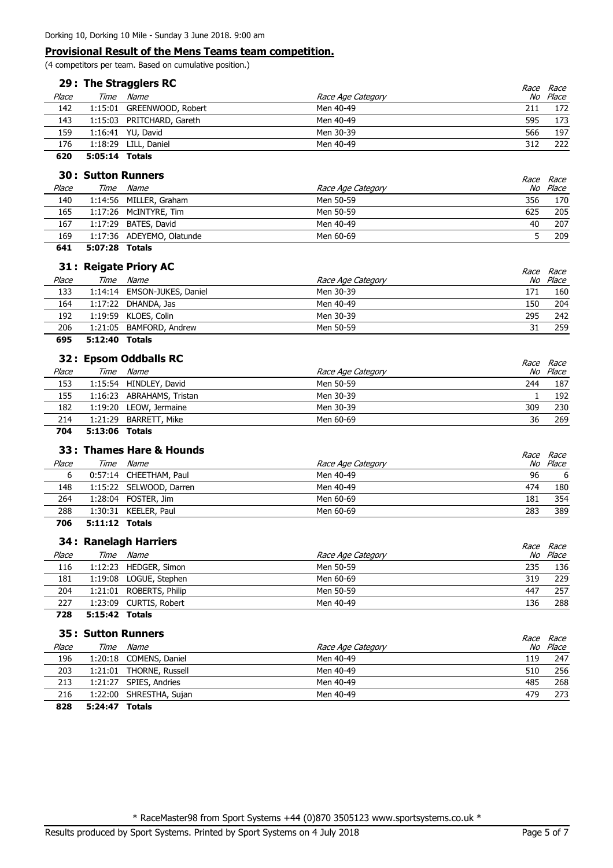(4 competitors per team. Based on cumulative position.)

|       | 29 : The Stragglers RC |                           |                   | <i>Race</i> | Race  |
|-------|------------------------|---------------------------|-------------------|-------------|-------|
| Place | Time                   | Name                      | Race Age Category | No          | Place |
| 142   |                        | 1:15:01 GREENWOOD, Robert | Men 40-49         | 211         | 172   |
| 143   |                        | 1:15:03 PRITCHARD, Gareth | Men 40-49         | 595         | 173   |
| 159   |                        | 1:16:41 YU, David         | Men 30-39         | 566         | 197   |
| 176   |                        | 1:18:29 LILL, Daniel      | Men 40-49         | 312         | 222   |
| 620   | 5:05:14 Totals         |                           |                   |             |       |

|       | 30: Sutton Runners |                           |                   |                              |  |
|-------|--------------------|---------------------------|-------------------|------------------------------|--|
| Place | Time               | Name                      | Race Age Category | <i>Race Race</i><br>No Place |  |
| 140   |                    | 1:14:56 MILLER, Graham    | Men 50-59<br>356  | 170                          |  |
| 165   |                    | 1:17:26 McINTYRE, Tim     | Men 50-59<br>625  | 205                          |  |
| 167   |                    | 1:17:29 BATES, David      | 40<br>Men 40-49   | 207                          |  |
| 169   |                    | 1:17:36 ADEYEMO, Olatunde | Men 60-69         | 209                          |  |
|       |                    |                           |                   |                              |  |

# **641 5:07:28 Totals**

|       |      | 31 : Reigate Priory AC      |                   | <i>Race Race</i> |
|-------|------|-----------------------------|-------------------|------------------|
| Place | Time | Name                        | Race Age Category | No Place         |
| 133   |      | 1:14:14 EMSON-JUKES, Daniel | Men 30-39<br>171  | 160              |
| 164   |      | $1:17:22$ DHANDA, Jas       | Men 40-49<br>150  | 204              |
| 192   |      | 1:19:59 KLOES, Colin        | Men 30-39<br>295  | 242              |
| 206   |      | 1:21:05 BAMFORD, Andrew     | Men 50-59<br>31   | 259              |
|       |      |                             |                   |                  |

### **695 5:12:40 Totals**

|       |      | 32: Epsom Oddballs RC     |                   |     | <i>Race Race</i> |
|-------|------|---------------------------|-------------------|-----|------------------|
| Place | Time | <i>Name</i>               | Race Age Category | No  | Place            |
| 153   |      | 1:15:54 HINDLEY, David    | Men 50-59         | 244 | 187              |
| 155   |      | 1:16:23 ABRAHAMS, Tristan | Men 30-39         |     | 192              |
| 182   |      | 1:19:20 LEOW, Jermaine    | Men 30-39         | 309 | 230              |
| 214   |      | 1:21:29 BARRETT, Mike     | Men 60-69         | 36  | 269              |

**704 5:13:06 Totals**

|       |       | 33: Thames Hare & Hounds |                   |     | <i>Race Race</i> |
|-------|-------|--------------------------|-------------------|-----|------------------|
| Place | Time  | <i>Name</i>              | Race Age Category |     | No Place         |
| 6     |       | 0:57:14 CHEETHAM, Paul   | Men 40-49         | 96  | -6               |
| 148   |       | 1:15:22 SELWOOD, Darren  | Men 40-49         | 474 | 180              |
| 264   |       | 1:28:04 FOSTER, Jim      | Men 60-69         | 181 | 354              |
| 288   |       | 1:30:31 KEELER, Paul     | Men 60-69         | 283 | 389              |
| ---   | _ _ _ |                          |                   |     |                  |

**706 5:11:12 Totals**

### **34 : Ranelagh Harriers** and the set of the set of the set of the set of the set of the set of the set of the set of the set of the set of the set of the set of the set of the set of the set of the set of the set of the se

|       |      | 34 : Raneiagn Harriers  | Race              | Race     |
|-------|------|-------------------------|-------------------|----------|
| Place | Time | Name                    | Race Age Category | No Place |
| 116   |      | 1:12:23 HEDGER, Simon   | Men 50-59<br>235  | 136      |
| 181   |      | 1:19:08 LOGUE, Stephen  | 319<br>Men 60-69  | 229      |
| 204   |      | 1:21:01 ROBERTS, Philip | 447<br>Men 50-59  | 257      |
| 227   |      | 1:23:09 CURTIS, Robert  | 136<br>Men 40-49  | 288      |
|       |      |                         |                   |          |

**728 5:15:42 Totals**

### **35 : Sutton Runners**  $\alpha$

|       |                | 35 : Sutton Runners     |                   |     | <i>Race Race</i> |
|-------|----------------|-------------------------|-------------------|-----|------------------|
| Place | Time           | <i>Name</i>             | Race Age Category |     | No Place         |
| 196   |                | 1:20:18 COMENS, Daniel  | Men 40-49         | 119 | 247              |
| 203   |                | 1:21:01 THORNE, Russell | Men 40-49         | 510 | 256              |
| 213   |                | 1:21:27 SPIES, Andries  | Men 40-49         | 485 | 268              |
| 216   | 1:22:00        | SHRESTHA, Sujan         | Men 40-49         | 479 | 273              |
| 828   | 5:24:47 Totals |                         |                   |     |                  |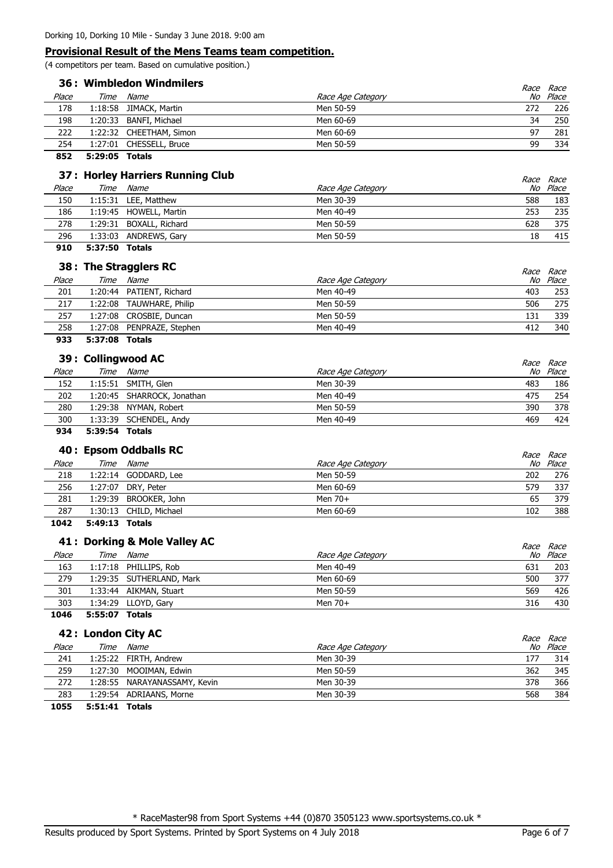(4 competitors per team. Based on cumulative position.)

| 36: Wimbledon Windmilers |      |                         |                   |     | <i>Race Race</i> |
|--------------------------|------|-------------------------|-------------------|-----|------------------|
| Place                    | Time | Name                    | Race Age Category | No  | Place            |
| 178                      |      | 1:18:58 JIMACK, Martin  | Men 50-59         | 272 | 226              |
| 198                      |      | 1:20:33 BANFI, Michael  | Men 60-69         | 34  | 250              |
| 222                      |      | 1:22:32 CHEETHAM, Simon | Men 60-69         | 97  | 281              |
| 254                      |      | 1:27:01 CHESSELL, Bruce | Men 50-59         | 99  | 334              |
|                          |      |                         |                   |     |                  |

**852 5:29:05 Totals**

# **37 : Horley Harriers Running Club** and the set of the set of the set of the set of the set of the set of the set of the set of the set of the set of the set of the set of the set of the set of the set of the set of the se

|       | 37: Horley Harriers Running Club |                        |                   |     | <i>Race Race</i> |
|-------|----------------------------------|------------------------|-------------------|-----|------------------|
| Place | Time                             | Name                   | Race Age Category |     | No Place         |
| 150   |                                  | 1:15:31 LEE, Matthew   | Men 30-39         | 588 | 183              |
| 186   |                                  | 1:19:45 HOWELL, Martin | Men 40-49         | 253 | 235              |
| 278   | 1:29:31                          | BOXALL, Richard        | Men 50-59         | 628 | 375              |
| 296   |                                  | 1:33:03 ANDREWS, Gary  | Men 50-59         | 18  | 415              |
|       |                                  |                        |                   |     |                  |

### **910 5:37:50 Totals**

|       |         | 38 : The Stragglers RC    |                   |     | <i>Race Race</i> |
|-------|---------|---------------------------|-------------------|-----|------------------|
| Place | Time    | Name                      | Race Age Category |     | No Place         |
| 201   |         | 1:20:44 PATIENT, Richard  | Men 40-49         | 403 | 253              |
| 217   | 1:22:08 | TAUWHARE, Philip          | Men 50-59         | 506 | 275              |
| 257   |         | 1:27:08 CROSBIE, Duncan   | Men 50-59         | 131 | 339              |
| 258   |         | 1:27:08 PENPRAZE, Stephen | Men 40-49         | 412 | 340              |
| 933   | 5:37:08 | Totals                    |                   |     |                  |

|       |      | 39 : Collingwood AC        |                   | <i>Race Race</i> |
|-------|------|----------------------------|-------------------|------------------|
| Place | Time | Name                       | Race Age Category | No Place         |
| 152   |      | 1:15:51 SMITH, Glen        | Men 30-39<br>483  | 186              |
| 202   |      | 1:20:45 SHARROCK, Jonathan | Men 40-49<br>475  | 254              |
| 280   |      | 1:29:38 NYMAN, Robert      | 390<br>Men 50-59  | 378              |
| 300   |      | 1:33:39 SCHENDEL, Andy     | 469<br>Men 40-49  | 424              |
| ---   |      |                            |                   |                  |

# **934 5:39:54 Totals**

|       |      | 40 : Epsom Oddballs RC |                   | <i>Race Race</i> |
|-------|------|------------------------|-------------------|------------------|
| Place | Time | Name                   | Race Age Category | No Place         |
| 218   |      | 1:22:14 GODDARD, Lee   | Men 50-59<br>202  | 276              |
| 256   |      | 1:27:07 DRY, Peter     | Men 60-69<br>579  | 337              |
| 281   |      | 1:29:39 BROOKER, John  | Men $70+$<br>65   | 379              |
| 287   |      | 1:30:13 CHILD, Michael | Men 60-69<br>102  | 388              |
| ----- |      |                        |                   |                  |

**1042 5:49:13 Totals**

### **41 : Dorking & Mole Valley AC** extends the set of the set of the set of the set of the set of the set of the set of the set of the set of the set of the set of the set of the set of the set of the set of the set of the se

|       |                | 41: Dorking & Mole Valley AC |                   |     | <i>Race Race</i> |
|-------|----------------|------------------------------|-------------------|-----|------------------|
| Place |                | Time Name                    | Race Age Category |     | No Place         |
| 163   |                | 1:17:18 PHILLIPS, Rob        | Men 40-49         | 631 | 203              |
| 279   |                | 1:29:35 SUTHERLAND, Mark     | Men 60-69         | 500 | 377              |
| 301   |                | 1:33:44 AIKMAN, Stuart       | Men 50-59         | 569 | 426              |
| 303   |                | 1:34:29 LLOYD, Gary          | Men $70+$         | 316 | 430              |
| 1046  | 5:55:07 Totals |                              |                   |     |                  |

|       |                | 42 : London City AC          |                   |     | Race Race |
|-------|----------------|------------------------------|-------------------|-----|-----------|
| Place | Time           | Name                         | Race Age Category |     | No Place  |
| 241   |                | 1:25:22 FIRTH, Andrew        | Men 30-39         | 177 | 314       |
| 259   |                | 1:27:30 MOOIMAN, Edwin       | Men 50-59         | 362 | 345       |
| 272   |                | 1:28:55 NARAYANASSAMY, Kevin | Men 30-39         | 378 | 366       |
| 283   |                | 1:29:54 ADRIAANS, Morne      | Men 30-39         | 568 | 384       |
| 1055  | 5:51:41 Totals |                              |                   |     |           |